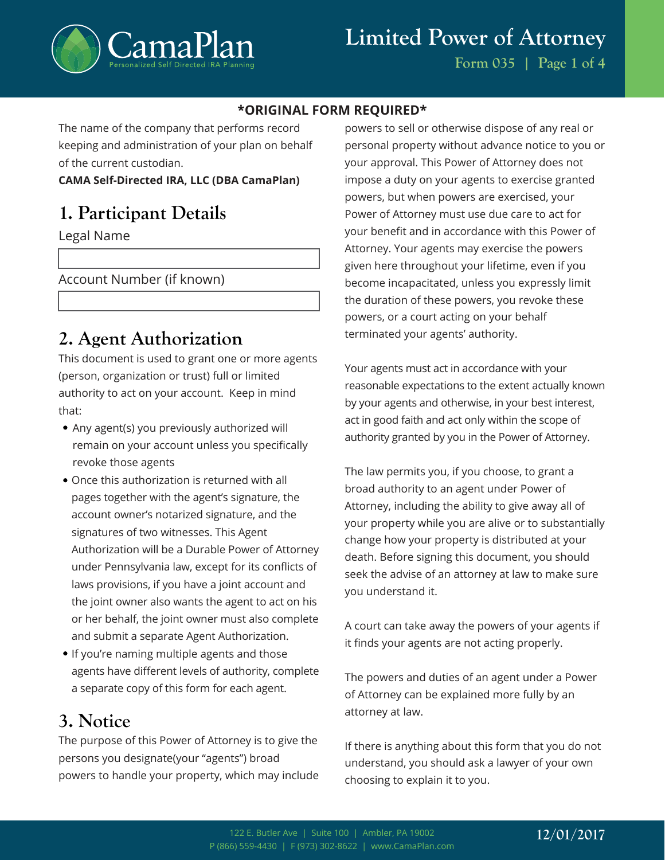

#### **\*ORIGINAL FORM REQUIRED\***

The name of the company that performs record keeping and administration of your plan on behalf of the current custodian.

#### **CAMA Self-Directed IRA, LLC (DBA CamaPlan)**

## **1. Participant Details**

Legal Name

Account Number (if known)

## **2. Agent Authorization**

This document is used to grant one or more agents (person, organization or trust) full or limited authority to act on your account. Keep in mind that:

- Any agent(s) you previously authorized will remain on your account unless you specifically revoke those agents
- Once this authorization is returned with all pages together with the agent's signature, the account owner's notarized signature, and the signatures of two witnesses. This Agent Authorization will be a Durable Power of Attorney under Pennsylvania law, except for its conflicts of laws provisions, if you have a joint account and the joint owner also wants the agent to act on his or her behalf, the joint owner must also complete and submit a separate Agent Authorization.
- If you're naming multiple agents and those agents have different levels of authority, complete a separate copy of this form for each agent.

## **3. Notice**

The purpose of this Power of Attorney is to give the persons you designate(your "agents") broad powers to handle your property, which may include

powers to sell or otherwise dispose of any real or personal property without advance notice to you or your approval. This Power of Attorney does not impose a duty on your agents to exercise granted powers, but when powers are exercised, your Power of Attorney must use due care to act for your benefit and in accordance with this Power of Attorney. Your agents may exercise the powers given here throughout your lifetime, even if you become incapacitated, unless you expressly limit the duration of these powers, you revoke these powers, or a court acting on your behalf terminated your agents' authority.

Your agents must act in accordance with your reasonable expectations to the extent actually known by your agents and otherwise, in your best interest, act in good faith and act only within the scope of authority granted by you in the Power of Attorney.

The law permits you, if you choose, to grant a broad authority to an agent under Power of Attorney, including the ability to give away all of your property while you are alive or to substantially change how your property is distributed at your death. Before signing this document, you should seek the advise of an attorney at law to make sure you understand it.

A court can take away the powers of your agents if it finds your agents are not acting properly.

The powers and duties of an agent under a Power of Attorney can be explained more fully by an attorney at law.

If there is anything about this form that you do not understand, you should ask a lawyer of your own choosing to explain it to you.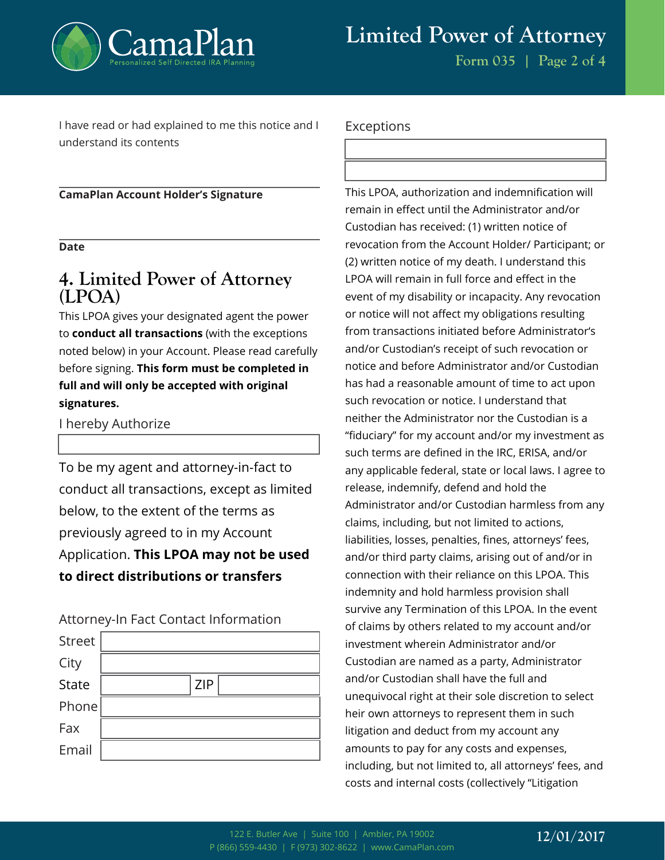

**Form 035 | Page 2 of 4**

I have read or had explained to me this notice and I understand its contents

**CamaPlan Account Holder's Signature**

**Date**

## **4. Limited Power of Attorney (LPOA)**

This LPOA gives your designated agent the power to **conduct all transactions** (with the exceptions noted below) in your Account. Please read carefully before signing. **This form must be completed in full and will only be accepted with original signatures.**

I hereby Authorize

To be my agent and attorney-in-fact to conduct all transactions, except as limited below, to the extent of the terms as previously agreed to in my Account Application. **This LPOA may not be used to direct distributions or transfers**

Attorney-In Fact Contact Information

| <b>Street</b> |            |
|---------------|------------|
| City          |            |
| <b>State</b>  | <b>ZIP</b> |
| Phone         |            |
| Fax           |            |
| Email         |            |

#### Exceptions

This LPOA, authorization and indemnification will remain in effect until the Administrator and/or Custodian has received: (1) written notice of revocation from the Account Holder/ Participant; or (2) written notice of my death. I understand this LPOA will remain in full force and effect in the event of my disability or incapacity. Any revocation or notice will not affect my obligations resulting from transactions initiated before Administrator's and/or Custodian's receipt of such revocation or notice and before Administrator and/or Custodian has had a reasonable amount of time to act upon such revocation or notice. I understand that neither the Administrator nor the Custodian is a "fiduciary" for my account and/or my investment as such terms are defined in the IRC, ERISA, and/or any applicable federal, state or local laws. I agree to release, indemnify, defend and hold the Administrator and/or Custodian harmless from any claims, including, but not limited to actions, liabilities, losses, penalties, fines, attorneys' fees, and/or third party claims, arising out of and/or in connection with their reliance on this LPOA. This indemnity and hold harmless provision shall survive any Termination of this LPOA. In the event of claims by others related to my account and/or investment wherein Administrator and/or Custodian are named as a party, Administrator and/or Custodian shall have the full and unequivocal right at their sole discretion to select heir own attorneys to represent them in such litigation and deduct from my account any amounts to pay for any costs and expenses, including, but not limited to, all attorneys' fees, and costs and internal costs (collectively "Litigation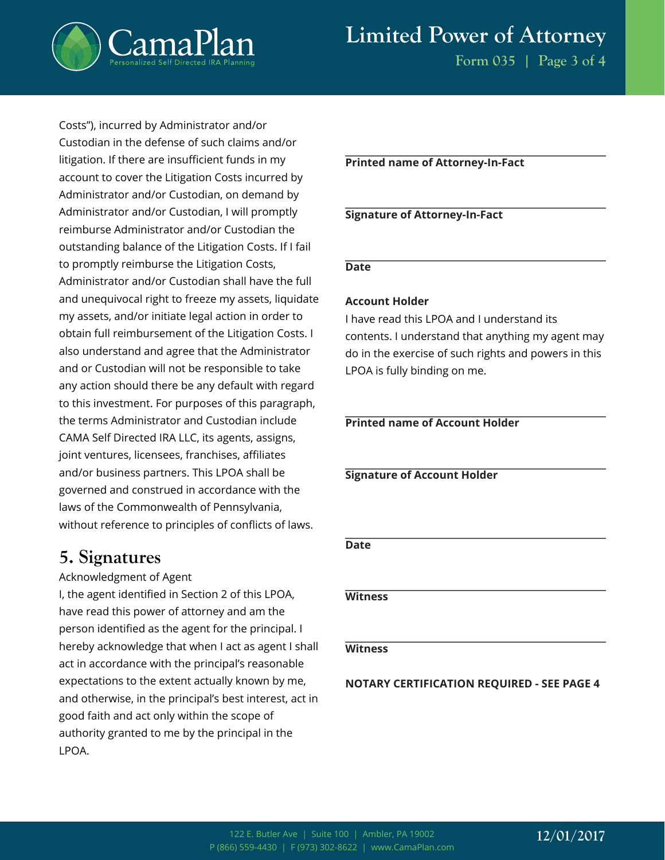

# **Limited Power of Attorney**

**Form 035 | Page 3 of 4**

Costs"), incurred by Administrator and/or Custodian in the defense of such claims and/or litigation. If there are insufficient funds in my account to cover the Litigation Costs incurred by Administrator and/or Custodian, on demand by Administrator and/or Custodian, I will promptly reimburse Administrator and/or Custodian the outstanding balance of the Litigation Costs. If I fail to promptly reimburse the Litigation Costs, Administrator and/or Custodian shall have the full and unequivocal right to freeze my assets, liquidate my assets, and/or initiate legal action in order to obtain full reimbursement of the Litigation Costs. I also understand and agree that the Administrator and or Custodian will not be responsible to take any action should there be any default with regard to this investment. For purposes of this paragraph, the terms Administrator and Custodian include CAMA Self Directed IRA LLC, its agents, assigns, joint ventures, licensees, franchises, affiliates and/or business partners. This LPOA shall be governed and construed in accordance with the laws of the Commonwealth of Pennsylvania, without reference to principles of conflicts of laws.

### **5. Signatures**

Acknowledgment of Agent

I, the agent identified in Section 2 of this LPOA, have read this power of attorney and am the person identified as the agent for the principal. I hereby acknowledge that when I act as agent I shall act in accordance with the principal's reasonable expectations to the extent actually known by me, and otherwise, in the principal's best interest, act in good faith and act only within the scope of authority granted to me by the principal in the LPOA.

#### **Printed name of Attorney-In-Fact**

#### **Signature of Attorney-In-Fact**

#### **Date**

#### **Account Holder**

I have read this LPOA and I understand its contents. I understand that anything my agent may do in the exercise of such rights and powers in this LPOA is fully binding on me.

#### **Printed name of Account Holder**

#### **Signature of Account Holder**

#### **Date**

#### **Witness**

#### **Witness**

#### **NOTARY CERTIFICATION REQUIRED - SEE PAGE 4**